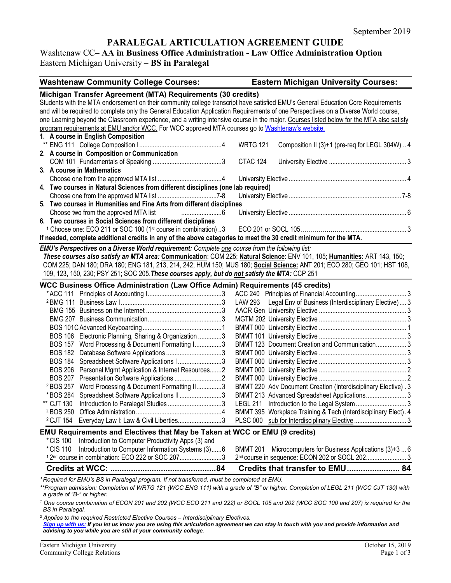# **PARALEGAL ARTICULATION AGREEMENT GUIDE**

# Washtenaw CC**– AA in Business Office Administration - Law Office Administration Option** Eastern Michigan University – **BS in Paralegal**

| <b>Washtenaw Community College Courses:</b>                                                                                                                                                                                                | <b>Eastern Michigan University Courses:</b>                          |
|--------------------------------------------------------------------------------------------------------------------------------------------------------------------------------------------------------------------------------------------|----------------------------------------------------------------------|
| Michigan Transfer Agreement (MTA) Requirements (30 credits)                                                                                                                                                                                |                                                                      |
| Students with the MTA endorsement on their community college transcript have satisfied EMU's General Education Core Requirements                                                                                                           |                                                                      |
| and will be required to complete only the General Education Application Requirements of one Perspectives on a Diverse World course,                                                                                                        |                                                                      |
| one Learning beyond the Classroom experience, and a writing intensive course in the major. Courses listed below for the MTA also satisfy                                                                                                   |                                                                      |
| program requirements at EMU and/or WCC. For WCC approved MTA courses go to Washtenaw's website.                                                                                                                                            |                                                                      |
| 1. A course in English Composition                                                                                                                                                                                                         |                                                                      |
| 2. A course in Composition or Communication                                                                                                                                                                                                | <b>WRTG 121</b><br>Composition II (3)+1 (pre-req for LEGL 304W)  4   |
|                                                                                                                                                                                                                                            | <b>CTAC 124</b>                                                      |
| 3. A course in Mathematics                                                                                                                                                                                                                 |                                                                      |
|                                                                                                                                                                                                                                            |                                                                      |
| 4. Two courses in Natural Sciences from different disciplines (one lab required)                                                                                                                                                           |                                                                      |
|                                                                                                                                                                                                                                            |                                                                      |
| 5. Two courses in Humanities and Fine Arts from different disciplines                                                                                                                                                                      |                                                                      |
| Choose two from the approved MTA list                                                                                                                                                                                                      |                                                                      |
| 6. Two courses in Social Sciences from different disciplines                                                                                                                                                                               |                                                                      |
| <sup>1</sup> Choose one: ECO 211 or SOC 100 (1st course in combination) 3                                                                                                                                                                  |                                                                      |
| If needed, complete additional credits in any of the above categories to meet the 30 credit minimum for the MTA.                                                                                                                           |                                                                      |
| EMU's Perspectives on a Diverse World requirement: Complete one course from the following list:                                                                                                                                            |                                                                      |
| These courses also satisfy an MTA area: Communication: COM 225; Natural Science: ENV 101, 105; Humanities: ART 143, 150;                                                                                                                   |                                                                      |
| COM 225; DAN 180; DRA 180; ENG 181, 213, 214, 242; HUM 150; MUS 180; Social Science: ANT 201; ECO 280; GEO 101; HST 108,                                                                                                                   |                                                                      |
| 109, 123, 150, 230; PSY 251; SOC 205. These courses apply, but do not satisfy the MTA: CCP 251                                                                                                                                             |                                                                      |
|                                                                                                                                                                                                                                            |                                                                      |
| <b>WCC Business Office Administration (Law Office Admin) Requirements (45 credits)</b>                                                                                                                                                     |                                                                      |
|                                                                                                                                                                                                                                            |                                                                      |
|                                                                                                                                                                                                                                            | LAW 293 Legal Env of Business (Interdisciplinary Elective)  3        |
|                                                                                                                                                                                                                                            |                                                                      |
|                                                                                                                                                                                                                                            |                                                                      |
|                                                                                                                                                                                                                                            |                                                                      |
| BOS 106 Electronic Planning, Sharing & Organization 3                                                                                                                                                                                      |                                                                      |
| BOS 157 Word Processing & Document Formatting I3                                                                                                                                                                                           | BMMT 123 Document Creation and Communication 3                       |
|                                                                                                                                                                                                                                            |                                                                      |
| <b>BOS 184</b><br>Spreadsheet Software Applications I3                                                                                                                                                                                     |                                                                      |
| <b>BOS 206</b><br>Personal Mgmt Application & Internet Resources2                                                                                                                                                                          |                                                                      |
| <b>BOS 207</b>                                                                                                                                                                                                                             |                                                                      |
| Word Processing & Document Formatting II3<br><sup>2</sup> BOS 257                                                                                                                                                                          | BMMT 220 Adv Document Creation (Interdisciplinary Elective). 3       |
| Spreadsheet Software Applications II 3<br>* BOS 284                                                                                                                                                                                        |                                                                      |
| ** CJT 130                                                                                                                                                                                                                                 |                                                                      |
|                                                                                                                                                                                                                                            | BMMT 395 Workplace Training & Tech (Interdisciplinary Elect). 4      |
| 2 CJT 154 Everyday Law I: Law & Civil Liberties3                                                                                                                                                                                           |                                                                      |
| <b>EMU Requirements and Electives that May be Taken at WCC or EMU (9 credits)</b>                                                                                                                                                          |                                                                      |
| *CIS 100<br>Introduction to Computer Productivity Apps (3) and                                                                                                                                                                             |                                                                      |
| Introduction to Computer Information Systems (3)6<br>*CIS 110                                                                                                                                                                              | Microcomputers for Business Applications (3)+3  6<br><b>BMMT 201</b> |
| <sup>1</sup> 2 <sup>nd</sup> course in combination: ECO 222 or SOC 2073                                                                                                                                                                    | 2nd course in sequence: ECON 202 or SOCL 202 3                       |
|                                                                                                                                                                                                                                            |                                                                      |
| *Required for EMU's BS in Paralegal program. If not transferred, must be completed at EMU.                                                                                                                                                 |                                                                      |
| **Program admission: Completion of WRTG 121 (WCC ENG 111) with a grade of "B" or higher. Completion of LEGL 211 (WCC CJT 130) with                                                                                                         |                                                                      |
| a grade of "B-" or higher.                                                                                                                                                                                                                 |                                                                      |
| <sup>1</sup> One course combination of ECON 201 and 202 (WCC ECO 211 and 222) or SOCL 105 and 202 (WCC SOC 100 and 207) is required for the<br><b>BS</b> in Paralegal.                                                                     |                                                                      |
| <sup>2</sup> Applies to the required Restricted Elective Courses - Interdisciplinary Electives.<br>Sign up with us: If you let us know you are using this articulation agreement we can stay in touch with you and provide information and |                                                                      |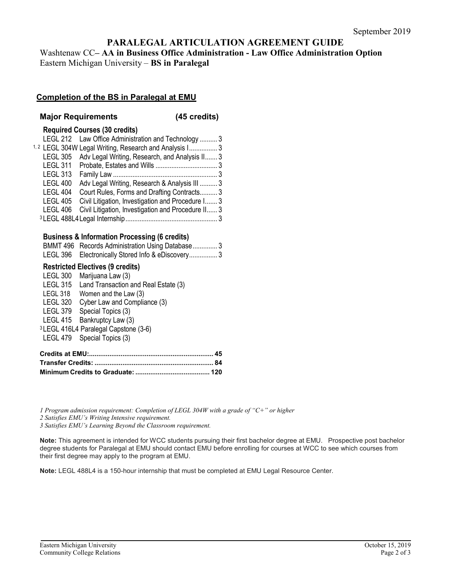# **PARALEGAL ARTICULATION AGREEMENT GUIDE**

Washtenaw CC**– AA in Business Office Administration - Law Office Administration Option** Eastern Michigan University – **BS in Paralegal**

### **Completion of the BS in Paralegal at EMU**

#### **Major Requirements (45 credits)**

#### **Required Courses (30 credits)**

|                 | LEGL 212 Law Office Administration and Technology  3              |  |
|-----------------|-------------------------------------------------------------------|--|
|                 | <sup>1,2</sup> LEGL 304W Legal Writing, Research and Analysis I 3 |  |
|                 | LEGL 305 Adv Legal Writing, Research, and Analysis II 3           |  |
|                 |                                                                   |  |
| <b>LEGL 313</b> |                                                                   |  |
| <b>LEGL 400</b> | Adv Legal Writing, Research & Analysis III  3                     |  |
| <b>LEGL 404</b> | Court Rules, Forms and Drafting Contracts 3                       |  |
| LEGL 405        | Civil Litigation, Investigation and Procedure I 3                 |  |
| LEGL 406        | Civil Litigation, Investigation and Procedure II 3                |  |
|                 |                                                                   |  |

#### **Business & Information Processing (6 credits)**

| BMMT 496 Records Administration Using Database3   |
|---------------------------------------------------|
| LEGL 396 Electronically Stored Info & eDiscovery3 |

#### **Restricted Electives (9 credits)**

| <b>LEGL 300</b>                                  | Marijuana Law (3)                    |  |
|--------------------------------------------------|--------------------------------------|--|
| <b>LEGL 315</b>                                  | Land Transaction and Real Estate (3) |  |
| LEGL 318                                         | Women and the Law (3)                |  |
| <b>LEGL 320</b>                                  | Cyber Law and Compliance (3)         |  |
| LEGL 379                                         | Special Topics (3)                   |  |
|                                                  | LEGL 415 Bankruptcy Law (3)          |  |
| <sup>3</sup> LEGL 416L4 Paralegal Capstone (3-6) |                                      |  |
|                                                  | LEGL 479 Special Topics (3)          |  |
|                                                  |                                      |  |

*1 Program admission requirement: Completion of LEGL 304W with a grade of "C+" or higher*

*2 Satisfies EMU's Writing Intensive requirement.*

*3 Satisfies EMU's Learning Beyond the Classroom requirement.* 

**Note:** This agreement is intended for WCC students pursuing their first bachelor degree at EMU. Prospective post bachelor degree students for Paralegal at EMU should contact EMU before enrolling for courses at WCC to see which courses from their first degree may apply to the program at EMU.

**Note:** LEGL 488L4 is a 150-hour internship that must be completed at EMU Legal Resource Center.